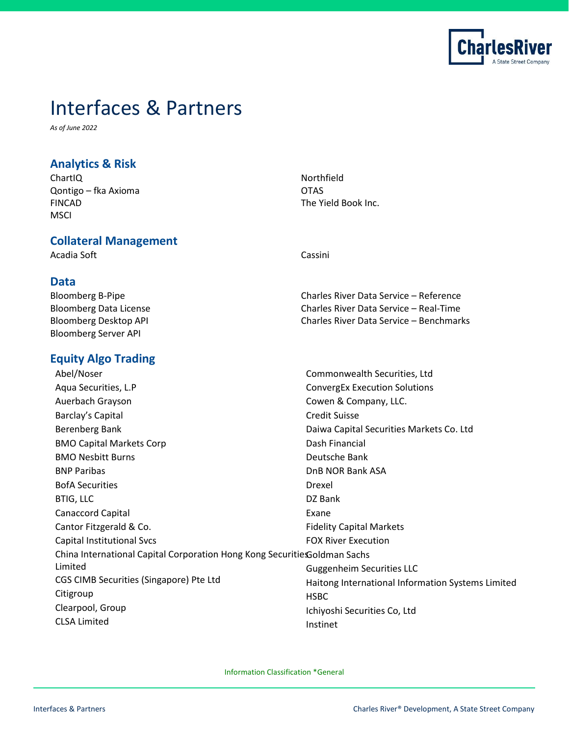

# [Interfaces & Partners](https://www.crd.com/company/partners/)

*As of June 2022*

# **Analytics & Risk**

ChartIQ Qontigo – fka Axioma FINCAD **MSCI** 

**Collateral Management**

Acadia Soft Cassini

Northfield **OTAS** The Yield Book Inc.

# **Data**

Bloomberg B-Pipe Bloomberg Data License Bloomberg Desktop API Bloomberg Server API

# **Equity Algo Trading**

Charles River Data Service – Reference Charles River Data Service – Real-Time Charles River Data Service – Benchmarks

| Abel/Noser                                                                | Commonwealth Securities, Ltd                      |
|---------------------------------------------------------------------------|---------------------------------------------------|
| Aqua Securities, L.P                                                      | <b>ConvergEx Execution Solutions</b>              |
| Auerbach Grayson                                                          | Cowen & Company, LLC.                             |
| Barclay's Capital                                                         | <b>Credit Suisse</b>                              |
| Berenberg Bank                                                            | Daiwa Capital Securities Markets Co. Ltd          |
| <b>BMO Capital Markets Corp</b>                                           | Dash Financial                                    |
| <b>BMO Nesbitt Burns</b>                                                  | Deutsche Bank                                     |
| <b>BNP Paribas</b>                                                        | DnB NOR Bank ASA                                  |
| <b>BofA Securities</b>                                                    | Drexel                                            |
| <b>BTIG, LLC</b>                                                          | DZ Bank                                           |
| <b>Canaccord Capital</b>                                                  | Exane                                             |
| Cantor Fitzgerald & Co.                                                   | <b>Fidelity Capital Markets</b>                   |
| <b>Capital Institutional Svcs</b>                                         | <b>FOX River Execution</b>                        |
| China International Capital Corporation Hong Kong Securitie Goldman Sachs |                                                   |
| Limited                                                                   | <b>Guggenheim Securities LLC</b>                  |
| CGS CIMB Securities (Singapore) Pte Ltd                                   | Haitong International Information Systems Limited |
| Citigroup                                                                 | <b>HSBC</b>                                       |
| Clearpool, Group                                                          | Ichiyoshi Securities Co, Ltd                      |
| <b>CLSA Limited</b>                                                       | Instinet                                          |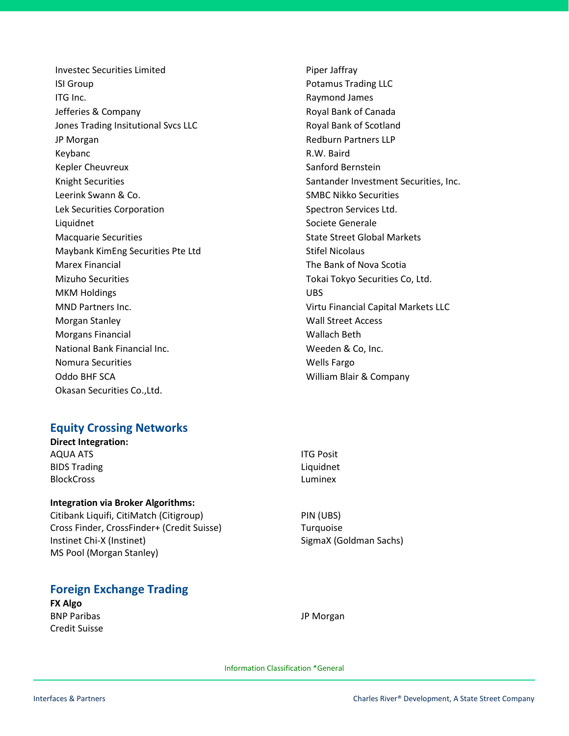Investec Securities Limited ISI Group ITG Inc. Jefferies & Company Jones Trading Insitutional Svcs LLC JP Morgan Keybanc Kepler Cheuvreux Knight Securities Leerink Swann & Co. Lek Securities Corporation Liquidnet Macquarie Securities Maybank KimEng Securities Pte Ltd Marex Financial Mizuho Securities MKM Holdings MND Partners Inc. Morgan Stanley Morgans Financial National Bank Financial Inc. Nomura Securities Oddo BHF SCA Okasan Securities Co.,Ltd.

## **Equity Crossing Networks**

**Direct Integration:** AQUA ATS BIDS Trading BlockCross

## **Integration via Broker Algorithms:**

Citibank Liquifi, CitiMatch (Citigroup) Cross Finder, CrossFinder+ (Credit Suisse) Instinet Chi-X (Instinet) MS Pool (Morgan Stanley)

# **Foreign Exchange Trading**

**FX Algo** BNP Paribas Credit Suisse Piper Jaffray Potamus Trading LLC Raymond James Royal Bank of Canada Royal Bank of Scotland Redburn Partners LLP R.W. Baird Sanford Bernstein Santander Investment Securities, Inc. SMBC Nikko Securities Spectron Services Ltd. Societe Generale State Street Global Markets Stifel Nicolaus The Bank of Nova Scotia Tokai Tokyo Securities Co, Ltd. UBS Virtu Financial Capital Markets LLC Wall Street Access Wallach Beth Weeden & Co, Inc. Wells Fargo William Blair & Company

ITG Posit Liquidnet Luminex

JP Morgan

PIN (UBS) Turquoise SigmaX (Goldman Sachs)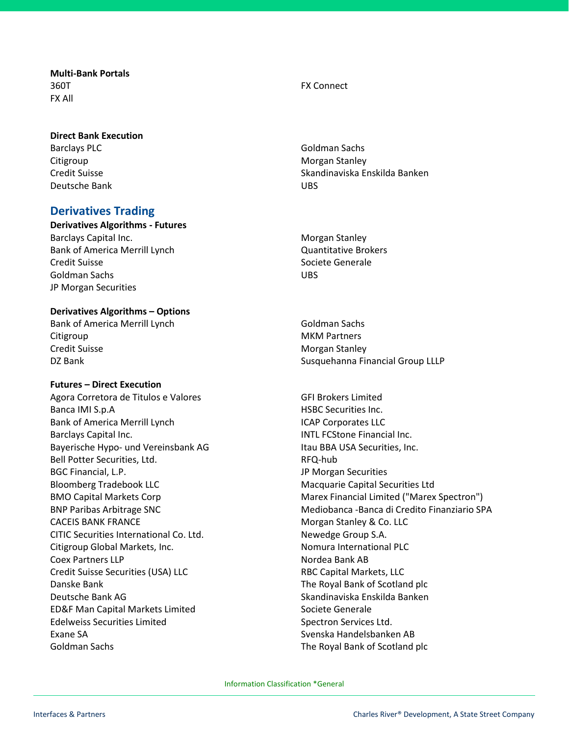**Multi-Bank Portals**  360T FX All

### **Direct Bank Execution**

Barclays PLC Citigroup Credit Suisse Deutsche Bank

## **Derivatives Trading**

**Derivatives Algorithms - Futures** Barclays Capital Inc. Bank of America Merrill Lynch Credit Suisse Goldman Sachs JP Morgan Securities

#### **Derivatives Algorithms – Options**

Bank of America Merrill Lynch Citigroup Credit Suisse DZ Bank

#### **Futures – Direct Execution**

Agora Corretora de Titulos e Valores Banca IMI S.p.A Bank of America Merrill Lynch Barclays Capital Inc. Bayerische Hypo- und Vereinsbank AG Bell Potter Securities, Ltd. BGC Financial, L.P. Bloomberg Tradebook LLC BMO Capital Markets Corp BNP Paribas Arbitrage SNC CACEIS BANK FRANCE CITIC Securities International Co. Ltd. Citigroup Global Markets, Inc. Coex Partners LLP Credit Suisse Securities (USA) LLC Danske Bank Deutsche Bank AG ED&F Man Capital Markets Limited Edelweiss Securities Limited Exane SA Goldman Sachs

FX Connect

Goldman Sachs Morgan Stanley Skandinaviska Enskilda Banken UBS

Morgan Stanley Quantitative Brokers Societe Generale UBS

Goldman Sachs MKM Partners Morgan Stanley Susquehanna Financial Group LLLP

GFI Brokers Limited HSBC Securities Inc. ICAP Corporates LLC INTL FCStone Financial Inc. Itau BBA USA Securities, Inc. RFQ-hub JP Morgan Securities Macquarie Capital Securities Ltd Marex Financial Limited ("Marex Spectron") Mediobanca -Banca di Credito Finanziario SPA Morgan Stanley & Co. LLC Newedge Group S.A. Nomura International PLC Nordea Bank AB RBC Capital Markets, LLC The Royal Bank of Scotland plc Skandinaviska Enskilda Banken Societe Generale Spectron Services Ltd. Svenska Handelsbanken AB The Royal Bank of Scotland plc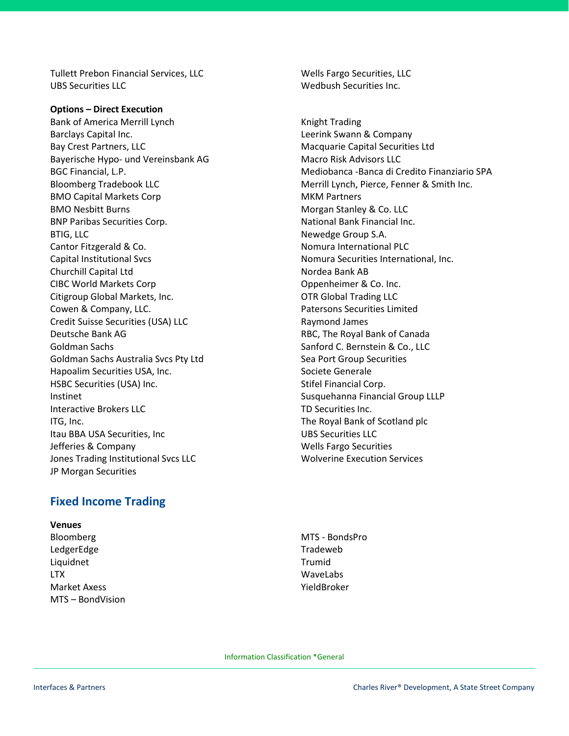Tullett Prebon Financial Services, LLC UBS Securities LLC

**Options – Direct Execution** Bank of America Merrill Lynch Barclays Capital Inc. Bay Crest Partners, LLC Bayerische Hypo- und Vereinsbank AG BGC Financial, L.P. Bloomberg Tradebook LLC BMO Capital Markets Corp BMO Nesbitt Burns BNP Paribas Securities Corp. BTIG, LLC Cantor Fitzgerald & Co. Capital Institutional Svcs Churchill Capital Ltd CIBC World Markets Corp Citigroup Global Markets, Inc. Cowen & Company, LLC. Credit Suisse Securities (USA) LLC Deutsche Bank AG Goldman Sachs Goldman Sachs Australia Svcs Pty Ltd Hapoalim Securities USA, Inc. HSBC Securities (USA) Inc. Instinet Interactive Brokers LLC ITG, Inc. Itau BBA USA Securities, Inc Jefferies & Company Jones Trading Institutional Svcs LLC JP Morgan Securities

Wells Fargo Securities, LLC Wedbush Securities Inc.

Knight Trading Leerink Swann & Company Macquarie Capital Securities Ltd Macro Risk Advisors LLC Mediobanca -Banca di Credito Finanziario SPA Merrill Lynch, Pierce, Fenner & Smith Inc. MKM Partners Morgan Stanley & Co. LLC National Bank Financial Inc. Newedge Group S.A. Nomura International PLC Nomura Securities International, Inc. Nordea Bank AB Oppenheimer & Co. Inc. OTR Global Trading LLC Patersons Securities Limited Raymond James RBC, The Royal Bank of Canada Sanford C. Bernstein & Co., LLC Sea Port Group Securities Societe Generale Stifel Financial Corp. Susquehanna Financial Group LLLP TD Securities Inc. The Royal Bank of Scotland plc UBS Securities LLC Wells Fargo Securities Wolverine Execution Services

# **Fixed Income Trading**

**Venues**

Bloomberg LedgerEdge Liquidnet LTX Market Axess MTS – BondVision

MTS - BondsPro Tradeweb Trumid WaveLabs YieldBroker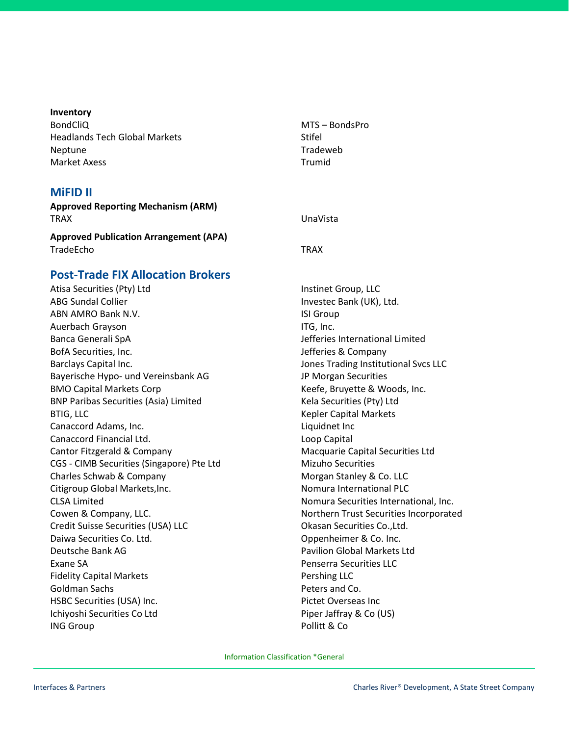#### **Inventory**

BondCliQ Headlands Tech Global Markets Neptune Market Axess

#### **MiFID II**

**Approved Reporting Mechanism (ARM)** TRAX UnaVista

**Approved Publication Arrangement (APA)** TradeEcho TRAX

## **Post-Trade FIX Allocation Brokers**

Atisa Securities (Pty) Ltd ABG Sundal Collier ABN AMRO Bank N.V. Auerbach Grayson Banca Generali SpA BofA Securities, Inc. Barclays Capital Inc. Bayerische Hypo- und Vereinsbank AG BMO Capital Markets Corp BNP Paribas Securities (Asia) Limited BTIG, LLC Canaccord Adams, Inc. Canaccord Financial Ltd. Cantor Fitzgerald & Company CGS - CIMB Securities (Singapore) Pte Ltd Charles Schwab & Company Citigroup Global Markets,Inc. CLSA Limited Cowen & Company, LLC. Credit Suisse Securities (USA) LLC Daiwa Securities Co. Ltd. Deutsche Bank AG Exane SA Fidelity Capital Markets Goldman Sachs HSBC Securities (USA) Inc. Ichiyoshi Securities Co Ltd ING Group

MTS – BondsPro **Stifel** Tradeweb Trumid

Instinet Group, LLC Investec Bank (UK), Ltd. ISI Group ITG, Inc. Jefferies International Limited Jefferies & Company Jones Trading Institutional Svcs LLC JP Morgan Securities Keefe, Bruyette & Woods, Inc. Kela Securities (Pty) Ltd Kepler Capital Markets Liquidnet Inc Loop Capital Macquarie Capital Securities Ltd Mizuho Securities Morgan Stanley & Co. LLC Nomura International PLC Nomura Securities International, Inc. Northern Trust Securities Incorporated Okasan Securities Co.,Ltd. Oppenheimer & Co. Inc. Pavilion Global Markets Ltd Penserra Securities LLC Pershing LLC Peters and Co. Pictet Overseas Inc Piper Jaffray & Co (US) Pollitt & Co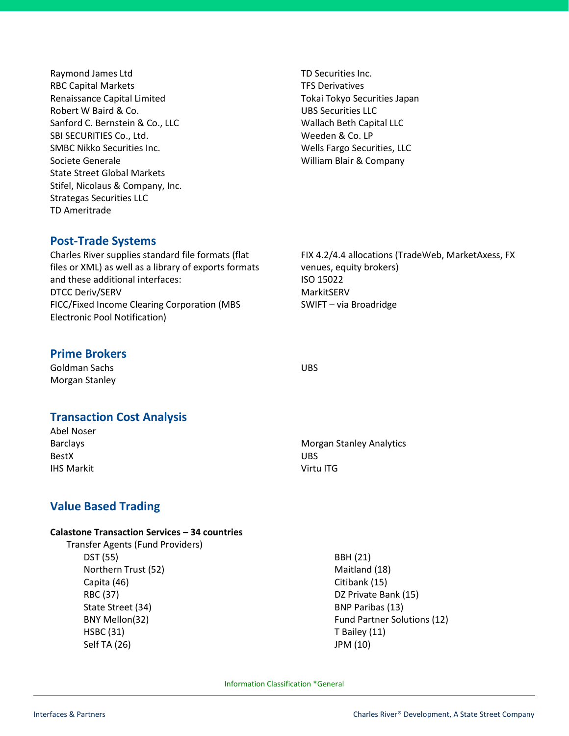Raymond James Ltd RBC Capital Markets Renaissance Capital Limited Robert W Baird & Co. Sanford C. Bernstein & Co., LLC SBI SECURITIES Co., Ltd. SMBC Nikko Securities Inc. Societe Generale State Street Global Markets Stifel, Nicolaus & Company, Inc. Strategas Securities LLC TD Ameritrade

TD Securities Inc. TFS Derivatives Tokai Tokyo Securities Japan UBS Securities LLC Wallach Beth Capital LLC Weeden & Co. LP Wells Fargo Securities, LLC William Blair & Company

# **Post-Trade Systems**

Charles River supplies standard file formats (flat files or XML) as well as a library of exports formats and these additional interfaces: DTCC Deriv/SERV FICC/Fixed Income Clearing Corporation (MBS Electronic Pool Notification)

## **Prime Brokers**

Goldman Sachs Morgan Stanley

## **Transaction Cost Analysis**

Abel Noser Barclays BestX IHS Markit UBS Virtu ITG

# **Value Based Trading**

#### **Calastone Transaction Services – 34 countries**

 Transfer Agents (Fund Providers) DST (55) Northern Trust (52) Capita (46) RBC (37) State Street (34) BNY Mellon(32) HSBC (31) Self TA (26)

FIX 4.2/4.4 allocations (TradeWeb, MarketAxess, FX venues, equity brokers) ISO 15022 MarkitSERV SWIFT – via Broadridge

Morgan Stanley Analytics

UBS

 BBH (21) Maitland (18) Citibank (15) DZ Private Bank (15) BNP Paribas (13) Fund Partner Solutions (12) T Bailey (11) JPM (10)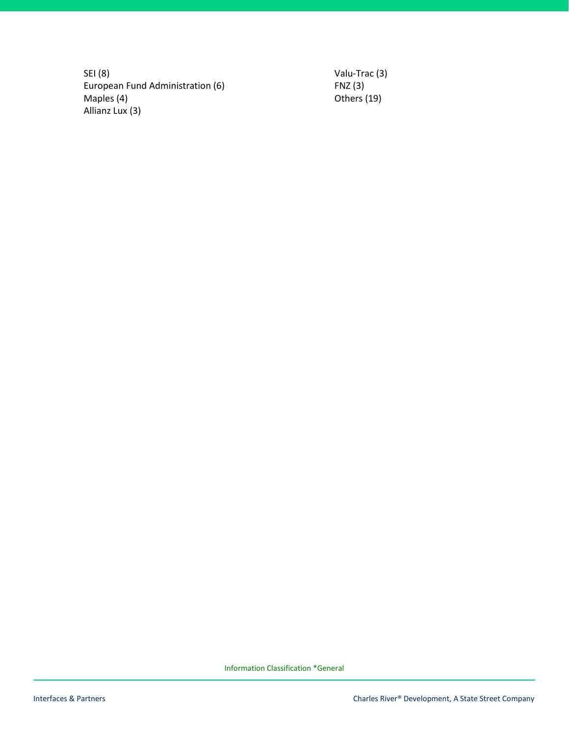SEI (8) European Fund Administration (6) Maples (4) Allianz Lux (3)

Valu-Trac (3) FNZ (3) Others (19)